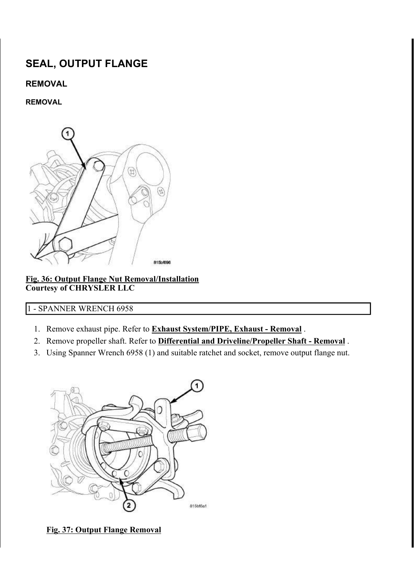# SEAL, OUTPUT FLANGE

# REMOVAL

# REMOVAL



#### Fig. 36: Output Flange Nut Removal/Installation Courtesy of CHRYSLER LLC

# 1 - SPANNER WRENCH 6958

- 1. Remove exhaust pipe. Refer to **Exhaust System/PIPE, Exhaust Removal**.
- 2. Remove propeller shaft. Refer to **Differential and Driveline/Propeller Shaft Removal**.
- 3. Using Spanner Wrench 6958 (1) and suitable ratchet and socket, remove output flange nut.



Fig. 37: Output Flange Removal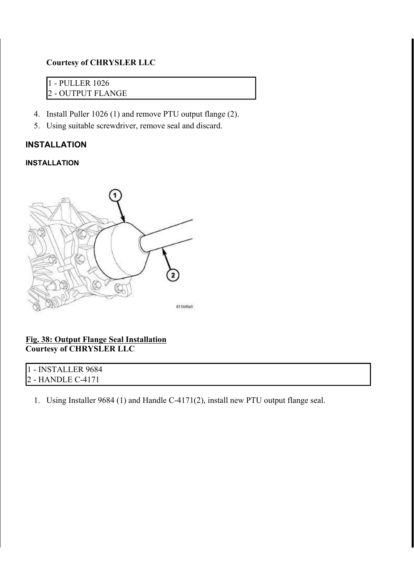# Courtesy of CHRYSLER LLC

1 - PULLER 1026 2 - OUTPUT FLANGE

- 4. Install Puller 1026 (1) and remove PTU output flange (2).
- 5. Using suitable screwdriver, remove seal and discard.

# INSTALLATION

#### INSTALLATION



## Fig. 38: Output Flange Seal Installation Courtesy of CHRYSLER LLC

| 1 - INSTALLER 9684 |  |  |
|--------------------|--|--|
| 2 - HANDLE C-4171  |  |  |

1. Using Installer 9684 (1) and Handle C-4171(2), install new PTU output flange seal.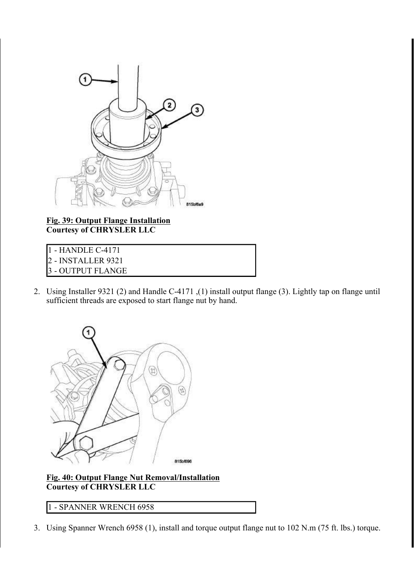

Fig. 39: Output Flange Installation Courtesy of CHRYSLER LLC

- 2 INSTALLER 9321
- 3 OUTPUT FLANGE
- 2. Using Installer 9321 (2) and Handle C-4171 ,(1) install output flange (3). Lightly tap on flange until sufficient threads are exposed to start flange nut by hand.



Fig. 40: Output Flange Nut Removal/Installation Courtesy of CHRYSLER LLC

1 - SPANNER WRENCH 6958

3. Using Spanner Wrench 6958 (1), install and torque output flange nut to 102 N.m (75 ft. lbs.) torque.